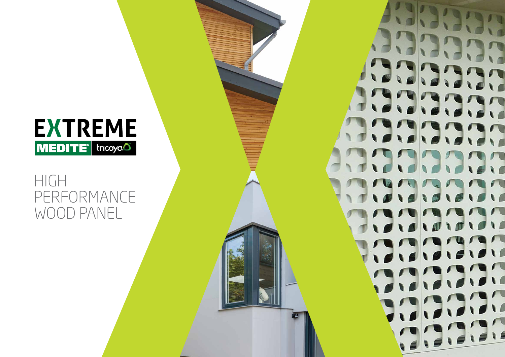

# HIGH PERFORMANCE WOOD PANEL

 $\mathsf{L}$ 

 $\sqrt{1}$ 

110

 $\sqrt{2}$ 

 $\sqrt{2}$ 

 $\sqrt{ }$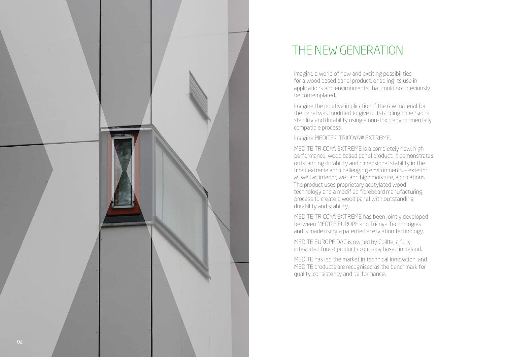

## THE NEW GENERATION

Imagine a world of new and exciting possibilities for a wood based panel product, enabling its use in applications and environments that could not previously be contemplated.

Imagine the positive implication if the raw material for the panel was modified to give outstanding dimensional stability and durability using a non-toxic environmentally compatible process.

Imagine MEDITE® TRICOYA® EXTREME .

MEDITE TRICOYA EXTREME is a completely new, high performance, wood based panel product. It demonstrates outstanding durability and dimensional stability in the most extreme and challenging environments – exterior as well as interior, wet and high moisture, applications. The product uses proprietary acetylated wood technology and a modified fibreboard manufacturing process to create a wood panel with outstanding durability and stability.

MEDITE TRICOYA EXTREME has been jointly developed between MEDITE EUROPE and Tricoya Technologies and is made using a patented acetylation technology.

MEDITE EUROPE DAC is owned by Coillte, a fully integrated forest products company based in Ireland.

MEDITE has led the market in technical innovation, and MEDITE products are recognised as the benchmark for quality, consistency and performance.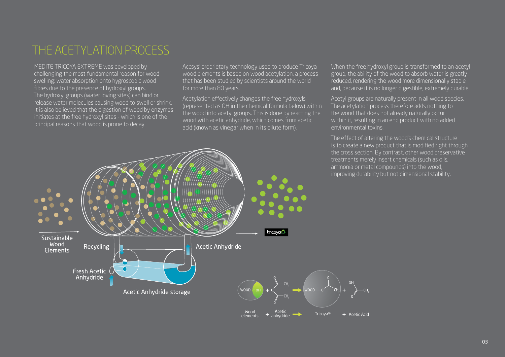## THE ACETYLATION PROCESS

MEDITE TRICOYA EXTREME was developed by challenging the most fundamental reason for wood swelling: water absorption onto hygroscopic wood fibres due to the presence of hydroxyl groups. The hydroxyl groups (water loving sites) can bind or release water molecules causing wood to swell or shrink. It is also believed that the digestion of wood by enzymes initiates at the free hydroxyl sites - which is one of the principal reasons that wood is prone to decay.

Accsys' proprietary technology used to produce Tricoya wood elements is based on wood acetylation, a process that has been studied by scientists around the world for more than 80 years.

Acetylation effectively changes the free hydroxyls (represented as OH in the chemical formula below) within the wood into acetyl groups. This is done by reacting the wood with acetic anhydride, which comes from acetic acid (known as vinegar when in its dilute form).

When the free hydroxyl group is transformed to an acetyl group, the ability of the wood to absorb water is greatly reduced, rendering the wood more dimensionally stable and, because it is no longer digestible, extremely durable.

Acetyl groups are naturally present in all wood species. The acetylation process therefore adds nothing to the wood that does not already naturally occur within it, resulting in an end product with no added environmental toxins.

The effect of altering the wood's chemical structure is to create a new product that is modified right through the cross section. By contrast, other wood preservative treatments merely insert chemicals (such as oils, ammonia or metal compounds) into the wood, improving durability but not dimensional stability.

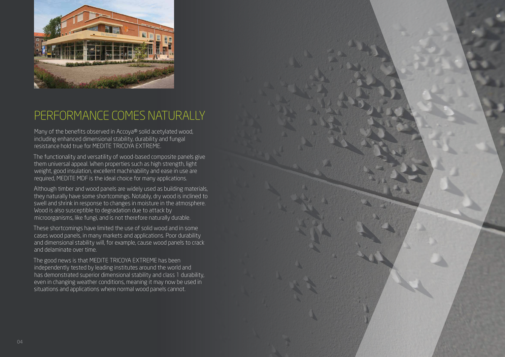

### PERFORMANCE COMES NATURALLY

Many of the benefits observed in Accoya® solid acetylated wood, including enhanced dimensional stability, durability and fungal resistance hold true for MEDITE TRICOYA EXTREME.

The functionality and versatility of wood-based composite panels give them universal appeal. When properties such as high strength, light weight, good insulation, excellent machinability and ease in use are required, MEDITE MDF is the ideal choice for many applications.

Although timber and wood panels are widely used as building materials, they naturally have some shortcomings. Notably, dry wood is inclined to swell and shrink in response to changes in moisture in the atmosphere. Wood is also susceptible to degradation due to attack by microorganisms, like fungi, and is not therefore naturally durable.

These shortcomings have limited the use of solid wood and in some cases wood panels, in many markets and applications. Poor durability and dimensional stability will, for example, cause wood panels to crack and delaminate over time.

The good news is that MEDITE TRICOYA EXTREME has been independently tested by leading institutes around the world and has demonstrated superior dimensional stability and class 1 durability, even in changing weather conditions, meaning it may now be used in situations and applications where normal wood panels cannot.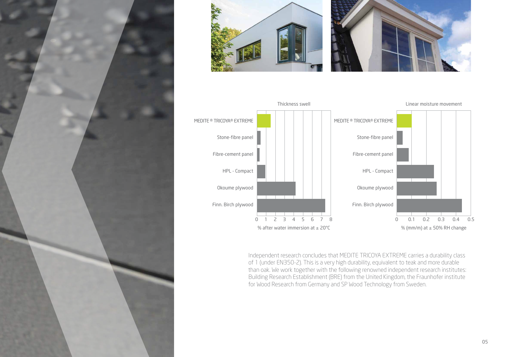





Independent research concludes that MEDITE TRICOYA EXTREME carries a durability class of 1 (under EN350-2). This is a very high durability, equivalent to teak and more durable than oak. We work together with the following renowned independent research institutes: Building Research Establishment (BRE) from the United Kingdom, the Fraunhofer institute for Wood Research from Germany and SP Wood Technology from Sweden.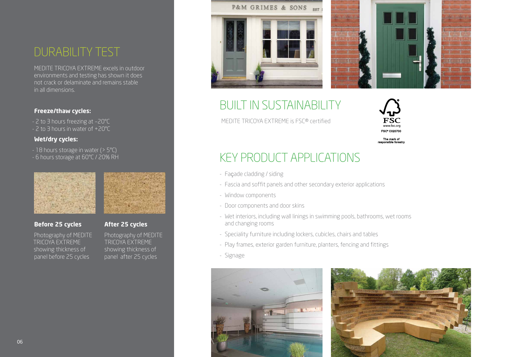### DURABILITY TEST

MEDITE TRICOYA EXTREME excels in outdoor environments and testing has shown it does not crack or delaminate and remains stable in all dimensions.

### **Freeze/thaw cycles:**

- 2 to 3 hours freezing at –20°C - 2 to 3 hours in water of +20°C

### **Wet/dry cycles:**

- 18 hours storage in water (> 5°C) - 6 hours storage at 60°C / 20% RH



### **Before 25 cycles After 25 cycles**

Photography of MEDITE Photography of MEDITE<br>TRICOYA EXTREME TRICOYA EXTREME TRICOYA EXTREME showing thickness of showing thickness of  $\overline{p}$  panel before 25 cycles  $\overline{p}$  panel after 25 cycles





## BUILT IN SUSTAINABILITY

MEDITE TRICOYA EXTREME is FSC® certified



The mark of responsible forest

## KEY PRODUCT APPLICATIONS

- Façade cladding / siding
- Fascia and soffit panels and other secondary exterior applications
- Window components
- Door components and door skins
- Wet interiors, including wall linings in swimming pools, bathrooms, wet rooms and changing rooms
- Speciality furniture including lockers, cubicles, chairs and tables
- Play frames, exterior garden furniture, planters, fencing and fittings
- Signage



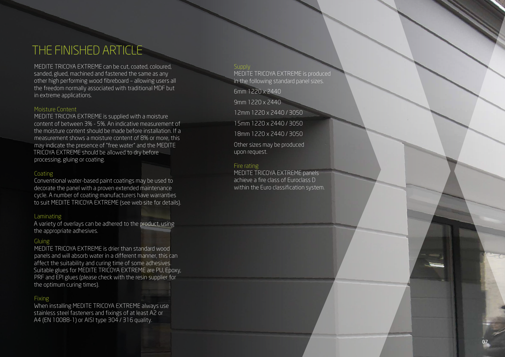## THE FINISHED ARTICLE

MEDITE TRICOYA EXTREME can be cut, coated, coloured, sanded, glued, machined and fastened the same as any other high performing wood fibreboard – allowing users all the freedom normally associated with traditional MDF but in extreme applications.

### Moisture Content

MEDITE TRICOYA EXTREME is supplied with a moisture content of between 3% - 5%. An indicative measurement of the moisture content should be made before installation. If a measurement shows a moisture content of 8% or more, this may indicate the presence of "free water" and the MEDITE TRICOYA EXTREME should be allowed to dry before processing, gluing or coating.

### **Coating**

Conventional water-based paint coatings may be used to decorate the panel with a proven extended maintenance cycle. A number of coating manufacturers have warranties to suit MEDITE TRICOYA EXTREME (see web site for details).

#### Laminating

A variety of overlays can be adhered to the product, using the appropriate adhesives.

### Gluing

MEDITE TRICOYA EXTREME is drier than standard wood panels and will absorb water in a different manner, this can affect the suitability and curing time of some adhesives. Suitable glues for MEDITE TRICOYA EXTREME are PU, Epoxy, PRF and EPI glues (please check with the resin supplier for the optimum curing times).

### Fixing

When installing MEDITE TRICOYA EXTREME always use stainless steel fasteners and fixings of at least A2 or A4 (EN 10088-1) or AISI type 304 / 316 quality.

#### **Supply**

MEDITE TRICOYA EXTREME is produced in the following standard panel sizes.

6mm 1220 x 2440

9mm 1220 x 2440

12mm 1220 x 2440 / 3050

15mm 1220 x 2440 / 3050

18mm 1220 x 2440 / 3050

Other sizes may be produced upon request.

### Fire rating

MEDITE TRICOYA EXTREME panels achieve a fire class of Euroclass D within the Euro classification system.